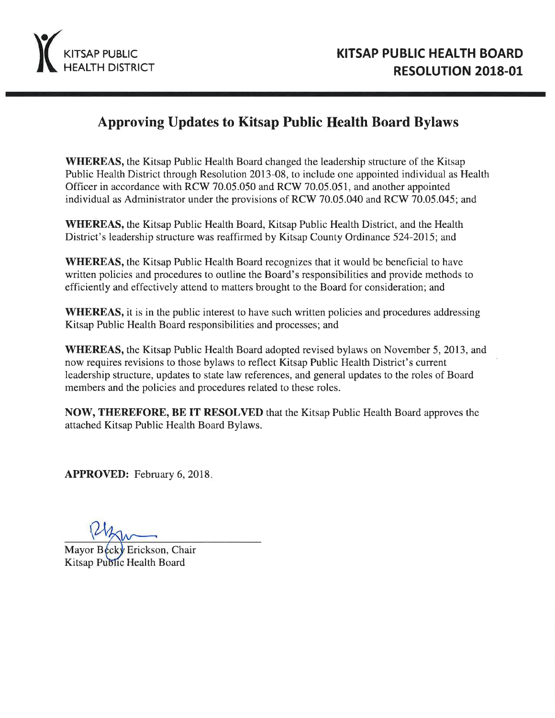

# **Approving Updates to Kitsap Public Health Board Bylaws**

**WHEREAS**, the Kitsap Public Health Board changed the leadership structure of the Kitsap Public Health District through Resolution 2013-08, to include one appointed individual as Health Officer in accordance with RCW 70.05.050 and RCW 70.05.051, and another appointed individual as Administrator under the provisions of RCW 70.05.040 and RCW 70.05.045; and

**WHEREAS**, the Kitsap Public Health Board, Kitsap Public Health District, and the Health District's leadership structure was reaffirmed by Kitsap County Ordinance 524-2015; and

**WHEREAS**, the Kitsap Public Health Board recognizes that it would be beneficial to have written policies and procedures to outline the Board's responsibilities and provide methods to efficiently and effectively attend to matters brought to the Board for consideration; and

**WHEREAS**, it is in the public interest to have such written policies and procedures addressing Kitsap Public Health Board responsibilities and processes; and

**WHEREAS,** the Kitsap Public Health Board adopted revised bylaws on November 5, 2013, and now requires revisions to those bylaws to reflect Kitsap Public Health District's current leadership structure, updates to state law references, and general updates to the roles of Board members and the policies and procedures related to these roles.

**NOW, THEREFORE, BE IT RESOLVED** that the Kitsap Public Health Board approves the attached Kitsap Public Health Board Bylaws.

**APPROVED:** February 6, 2018.

Mayor Becky Erickson, Chair Kitsap Public Health Board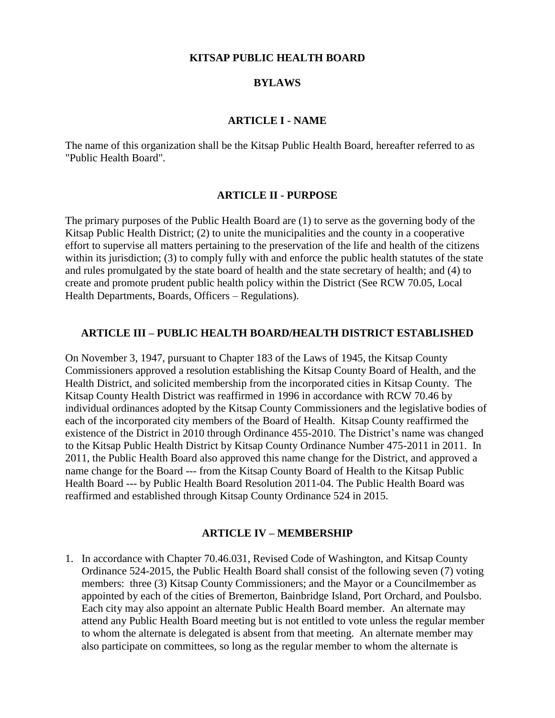#### **KITSAP PUBLIC HEALTH BOARD**

#### **BYLAWS**

#### **ARTICLE I - NAME**

The name of this organization shall be the Kitsap Public Health Board, hereafter referred to as "Public Health Board".

#### **ARTICLE II - PURPOSE**

The primary purposes of the Public Health Board are (1) to serve as the governing body of the Kitsap Public Health District; (2) to unite the municipalities and the county in a cooperative effort to supervise all matters pertaining to the preservation of the life and health of the citizens within its jurisdiction; (3) to comply fully with and enforce the public health statutes of the state and rules promulgated by the state board of health and the state secretary of health; and (4) to create and promote prudent public health policy within the District (See RCW 70.05, Local Health Departments, Boards, Officers – Regulations).

#### **ARTICLE III – PUBLIC HEALTH BOARD/HEALTH DISTRICT ESTABLISHED**

On November 3, 1947, pursuant to Chapter 183 of the Laws of 1945, the Kitsap County Commissioners approved a resolution establishing the Kitsap County Board of Health, and the Health District, and solicited membership from the incorporated cities in Kitsap County. The Kitsap County Health District was reaffirmed in 1996 in accordance with RCW 70.46 by individual ordinances adopted by the Kitsap County Commissioners and the legislative bodies of each of the incorporated city members of the Board of Health. Kitsap County reaffirmed the existence of the District in 2010 through Ordinance 455-2010. The District's name was changed to the Kitsap Public Health District by Kitsap County Ordinance Number 475-2011 in 2011. In 2011, the Public Health Board also approved this name change for the District, and approved a name change for the Board --- from the Kitsap County Board of Health to the Kitsap Public Health Board --- by Public Health Board Resolution 2011-04. The Public Health Board was reaffirmed and established through Kitsap County Ordinance 524 in 2015.

#### **ARTICLE IV – MEMBERSHIP**

1. In accordance with Chapter 70.46.031, Revised Code of Washington, and Kitsap County Ordinance 524-2015, the Public Health Board shall consist of the following seven (7) voting members: three (3) Kitsap County Commissioners; and the Mayor or a Councilmember as appointed by each of the cities of Bremerton, Bainbridge Island, Port Orchard, and Poulsbo. Each city may also appoint an alternate Public Health Board member. An alternate may attend any Public Health Board meeting but is not entitled to vote unless the regular member to whom the alternate is delegated is absent from that meeting. An alternate member may also participate on committees, so long as the regular member to whom the alternate is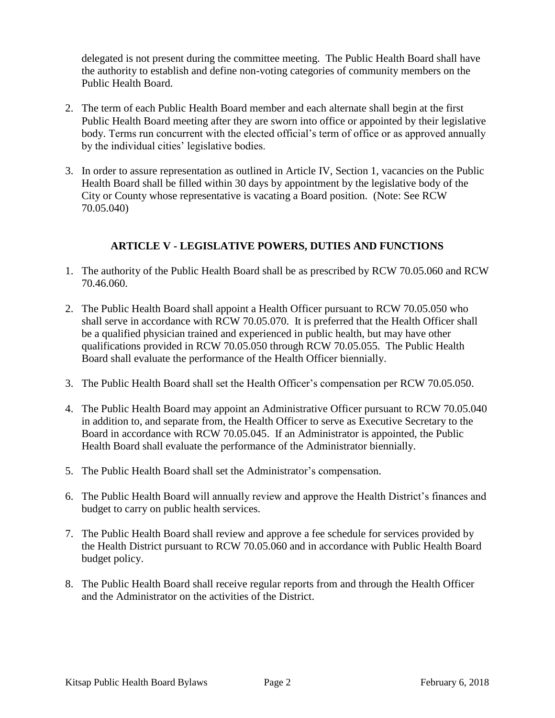delegated is not present during the committee meeting. The Public Health Board shall have the authority to establish and define non-voting categories of community members on the Public Health Board.

- 2. The term of each Public Health Board member and each alternate shall begin at the first Public Health Board meeting after they are sworn into office or appointed by their legislative body. Terms run concurrent with the elected official's term of office or as approved annually by the individual cities' legislative bodies.
- 3. In order to assure representation as outlined in Article IV, Section 1, vacancies on the Public Health Board shall be filled within 30 days by appointment by the legislative body of the City or County whose representative is vacating a Board position. (Note: See RCW 70.05.040)

### **ARTICLE V - LEGISLATIVE POWERS, DUTIES AND FUNCTIONS**

- 1. The authority of the Public Health Board shall be as prescribed by RCW 70.05.060 and RCW 70.46.060.
- 2. The Public Health Board shall appoint a Health Officer pursuant to RCW 70.05.050 who shall serve in accordance with RCW 70.05.070. It is preferred that the Health Officer shall be a qualified physician trained and experienced in public health, but may have other qualifications provided in RCW 70.05.050 through RCW 70.05.055. The Public Health Board shall evaluate the performance of the Health Officer biennially.
- 3. The Public Health Board shall set the Health Officer's compensation per RCW 70.05.050.
- 4. The Public Health Board may appoint an Administrative Officer pursuant to RCW 70.05.040 in addition to, and separate from, the Health Officer to serve as Executive Secretary to the Board in accordance with RCW 70.05.045. If an Administrator is appointed, the Public Health Board shall evaluate the performance of the Administrator biennially.
- 5. The Public Health Board shall set the Administrator's compensation.
- 6. The Public Health Board will annually review and approve the Health District's finances and budget to carry on public health services.
- 7. The Public Health Board shall review and approve a fee schedule for services provided by the Health District pursuant to RCW 70.05.060 and in accordance with Public Health Board budget policy.
- 8. The Public Health Board shall receive regular reports from and through the Health Officer and the Administrator on the activities of the District.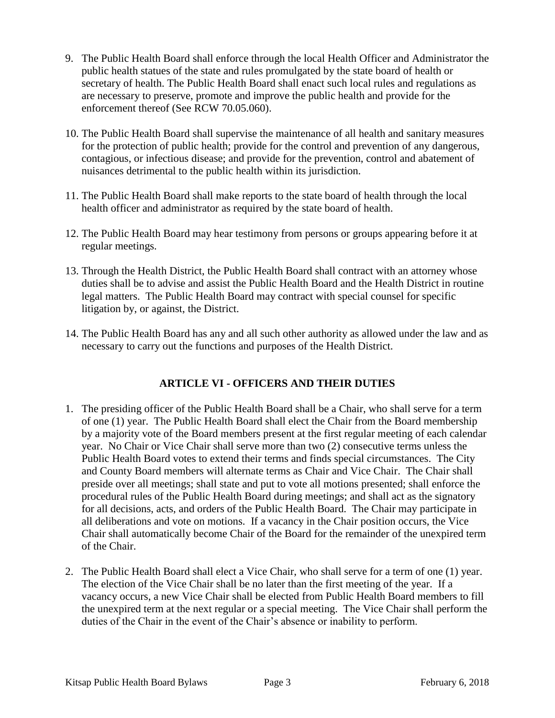- 9. The Public Health Board shall enforce through the local Health Officer and Administrator the public health statues of the state and rules promulgated by the state board of health or secretary of health. The Public Health Board shall enact such local rules and regulations as are necessary to preserve, promote and improve the public health and provide for the enforcement thereof (See RCW 70.05.060).
- 10. The Public Health Board shall supervise the maintenance of all health and sanitary measures for the protection of public health; provide for the control and prevention of any dangerous, contagious, or infectious disease; and provide for the prevention, control and abatement of nuisances detrimental to the public health within its jurisdiction.
- 11. The Public Health Board shall make reports to the state board of health through the local health officer and administrator as required by the state board of health.
- 12. The Public Health Board may hear testimony from persons or groups appearing before it at regular meetings.
- 13. Through the Health District, the Public Health Board shall contract with an attorney whose duties shall be to advise and assist the Public Health Board and the Health District in routine legal matters. The Public Health Board may contract with special counsel for specific litigation by, or against, the District.
- 14. The Public Health Board has any and all such other authority as allowed under the law and as necessary to carry out the functions and purposes of the Health District.

# **ARTICLE VI - OFFICERS AND THEIR DUTIES**

- 1. The presiding officer of the Public Health Board shall be a Chair, who shall serve for a term of one (1) year. The Public Health Board shall elect the Chair from the Board membership by a majority vote of the Board members present at the first regular meeting of each calendar year. No Chair or Vice Chair shall serve more than two (2) consecutive terms unless the Public Health Board votes to extend their terms and finds special circumstances. The City and County Board members will alternate terms as Chair and Vice Chair. The Chair shall preside over all meetings; shall state and put to vote all motions presented; shall enforce the procedural rules of the Public Health Board during meetings; and shall act as the signatory for all decisions, acts, and orders of the Public Health Board. The Chair may participate in all deliberations and vote on motions. If a vacancy in the Chair position occurs, the Vice Chair shall automatically become Chair of the Board for the remainder of the unexpired term of the Chair.
- 2. The Public Health Board shall elect a Vice Chair, who shall serve for a term of one (1) year. The election of the Vice Chair shall be no later than the first meeting of the year. If a vacancy occurs, a new Vice Chair shall be elected from Public Health Board members to fill the unexpired term at the next regular or a special meeting. The Vice Chair shall perform the duties of the Chair in the event of the Chair's absence or inability to perform.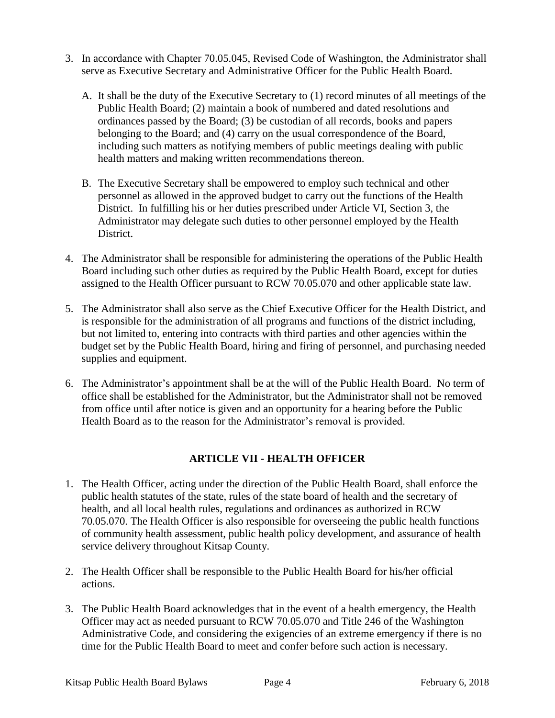- 3. In accordance with Chapter 70.05.045, Revised Code of Washington, the Administrator shall serve as Executive Secretary and Administrative Officer for the Public Health Board.
	- A. It shall be the duty of the Executive Secretary to (1) record minutes of all meetings of the Public Health Board; (2) maintain a book of numbered and dated resolutions and ordinances passed by the Board; (3) be custodian of all records, books and papers belonging to the Board; and (4) carry on the usual correspondence of the Board, including such matters as notifying members of public meetings dealing with public health matters and making written recommendations thereon.
	- B. The Executive Secretary shall be empowered to employ such technical and other personnel as allowed in the approved budget to carry out the functions of the Health District. In fulfilling his or her duties prescribed under Article VI, Section 3, the Administrator may delegate such duties to other personnel employed by the Health District.
- 4. The Administrator shall be responsible for administering the operations of the Public Health Board including such other duties as required by the Public Health Board, except for duties assigned to the Health Officer pursuant to RCW 70.05.070 and other applicable state law.
- 5. The Administrator shall also serve as the Chief Executive Officer for the Health District, and is responsible for the administration of all programs and functions of the district including, but not limited to, entering into contracts with third parties and other agencies within the budget set by the Public Health Board, hiring and firing of personnel, and purchasing needed supplies and equipment.
- 6. The Administrator's appointment shall be at the will of the Public Health Board. No term of office shall be established for the Administrator, but the Administrator shall not be removed from office until after notice is given and an opportunity for a hearing before the Public Health Board as to the reason for the Administrator's removal is provided.

# **ARTICLE VII - HEALTH OFFICER**

- 1. The Health Officer, acting under the direction of the Public Health Board, shall enforce the public health statutes of the state, rules of the state board of health and the secretary of health, and all local health rules, regulations and ordinances as authorized in RCW 70.05.070. The Health Officer is also responsible for overseeing the public health functions of community health assessment, public health policy development, and assurance of health service delivery throughout Kitsap County.
- 2. The Health Officer shall be responsible to the Public Health Board for his/her official actions.
- 3. The Public Health Board acknowledges that in the event of a health emergency, the Health Officer may act as needed pursuant to RCW 70.05.070 and Title 246 of the Washington Administrative Code, and considering the exigencies of an extreme emergency if there is no time for the Public Health Board to meet and confer before such action is necessary.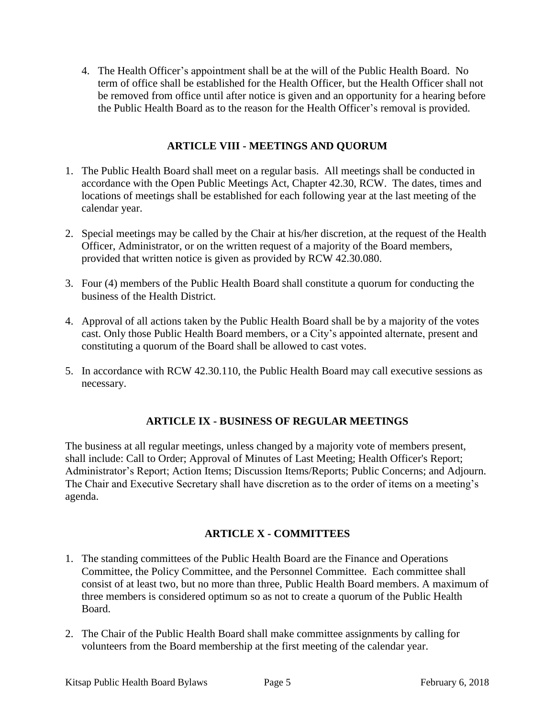4. The Health Officer's appointment shall be at the will of the Public Health Board. No term of office shall be established for the Health Officer, but the Health Officer shall not be removed from office until after notice is given and an opportunity for a hearing before the Public Health Board as to the reason for the Health Officer's removal is provided.

### **ARTICLE VIII - MEETINGS AND QUORUM**

- 1. The Public Health Board shall meet on a regular basis. All meetings shall be conducted in accordance with the Open Public Meetings Act, Chapter 42.30, RCW. The dates, times and locations of meetings shall be established for each following year at the last meeting of the calendar year.
- 2. Special meetings may be called by the Chair at his/her discretion, at the request of the Health Officer, Administrator, or on the written request of a majority of the Board members, provided that written notice is given as provided by RCW 42.30.080.
- 3. Four (4) members of the Public Health Board shall constitute a quorum for conducting the business of the Health District.
- 4. Approval of all actions taken by the Public Health Board shall be by a majority of the votes cast. Only those Public Health Board members, or a City's appointed alternate, present and constituting a quorum of the Board shall be allowed to cast votes.
- 5. In accordance with RCW 42.30.110, the Public Health Board may call executive sessions as necessary.

# **ARTICLE IX - BUSINESS OF REGULAR MEETINGS**

The business at all regular meetings, unless changed by a majority vote of members present, shall include: Call to Order; Approval of Minutes of Last Meeting; Health Officer's Report; Administrator's Report; Action Items; Discussion Items/Reports; Public Concerns; and Adjourn. The Chair and Executive Secretary shall have discretion as to the order of items on a meeting's agenda.

# **ARTICLE X - COMMITTEES**

- 1. The standing committees of the Public Health Board are the Finance and Operations Committee, the Policy Committee, and the Personnel Committee. Each committee shall consist of at least two, but no more than three, Public Health Board members. A maximum of three members is considered optimum so as not to create a quorum of the Public Health Board.
- 2. The Chair of the Public Health Board shall make committee assignments by calling for volunteers from the Board membership at the first meeting of the calendar year.